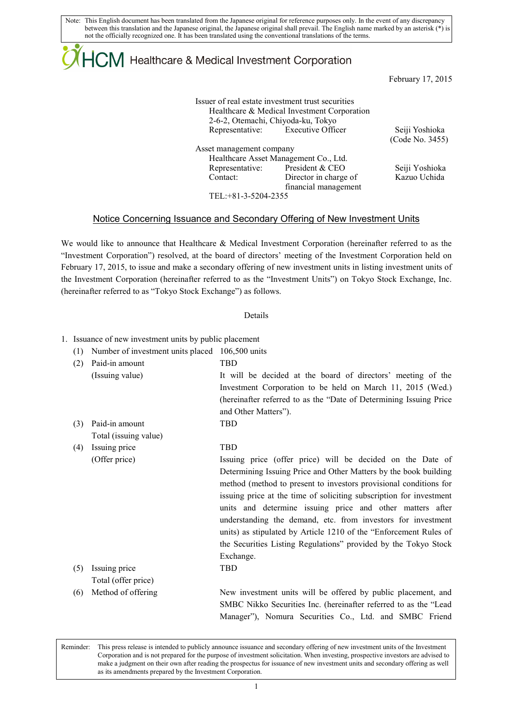# $\mathsf{ICM}\xspace$  Healthcare & Medical Investment Corporation

February 17, 2015

|                          | Issuer of real estate investment trust securities<br>Healthcare & Medical Investment Corporation<br>2-6-2, Otemachi, Chiyoda-ku, Tokyo |                 |
|--------------------------|----------------------------------------------------------------------------------------------------------------------------------------|-----------------|
|                          | Representative: Executive Officer                                                                                                      | Seiji Yoshioka  |
|                          |                                                                                                                                        | (Code No. 3455) |
| Asset management company |                                                                                                                                        |                 |
|                          | Healthcare Asset Management Co., Ltd.                                                                                                  |                 |
|                          | Representative: President & CEO                                                                                                        | Seiji Yoshioka  |
| Contact:                 | Director in charge of                                                                                                                  | Kazuo Uchida    |
|                          | financial management                                                                                                                   |                 |
| TEL: +81-3-5204-2355     |                                                                                                                                        |                 |
|                          |                                                                                                                                        |                 |

### Notice Concerning Issuance and Secondary Offering of New Investment Units

We would like to announce that Healthcare & Medical Investment Corporation (hereinafter referred to as the "Investment Corporation") resolved, at the board of directors' meeting of the Investment Corporation held on February 17, 2015, to issue and make a secondary offering of new investment units in listing investment units of the Investment Corporation (hereinafter referred to as the "Investment Units") on Tokyo Stock Exchange, Inc. (hereinafter referred to as "Tokyo Stock Exchange") as follows.

#### Details

|  | 1. Issuance of new investment units by public placement |  |  |  |  |
|--|---------------------------------------------------------|--|--|--|--|
|--|---------------------------------------------------------|--|--|--|--|

- (1) Number of investment units placed 106,500 units
- (2) Paid-in amount TBD (Issuing value) It will be decided at the board of directors' meeting of the Investment Corporation to be held on March 11, 2015 (Wed.) (hereinafter referred to as the "Date of Determining Issuing Price and Other Matters"). (3) Paid-in amount TBD Total (issuing value)
- (4) Issuing price TBD

|     | (Offer price)       | Issuing price (offer price) will be decided on the Date of          |
|-----|---------------------|---------------------------------------------------------------------|
|     |                     | Determining Issuing Price and Other Matters by the book building    |
|     |                     | method (method to present to investors provisional conditions for   |
|     |                     | issuing price at the time of soliciting subscription for investment |
|     |                     | units and determine issuing price and other matters after           |
|     |                     | understanding the demand, etc. from investors for investment        |
|     |                     | units) as stipulated by Article 1210 of the "Enforcement Rules of   |
|     |                     | the Securities Listing Regulations" provided by the Tokyo Stock     |
|     |                     | Exchange.                                                           |
| (5) | Issuing price       | <b>TBD</b>                                                          |
|     | Total (offer price) |                                                                     |
| (6) | Method of offering  | New investment units will be offered by public placement, and       |
|     |                     | SMBC Nikko Securities Inc. (hereinafter referred to as the "Lead    |

Reminder: This press release is intended to publicly announce issuance and secondary offering of new investment units of the Investment Corporation and is not prepared for the purpose of investment solicitation. When investing, prospective investors are advised to make a judgment on their own after reading the prospectus for issuance of new investment units and secondary offering as well as its amendments prepared by the Investment Corporation.

Manager"), Nomura Securities Co., Ltd. and SMBC Friend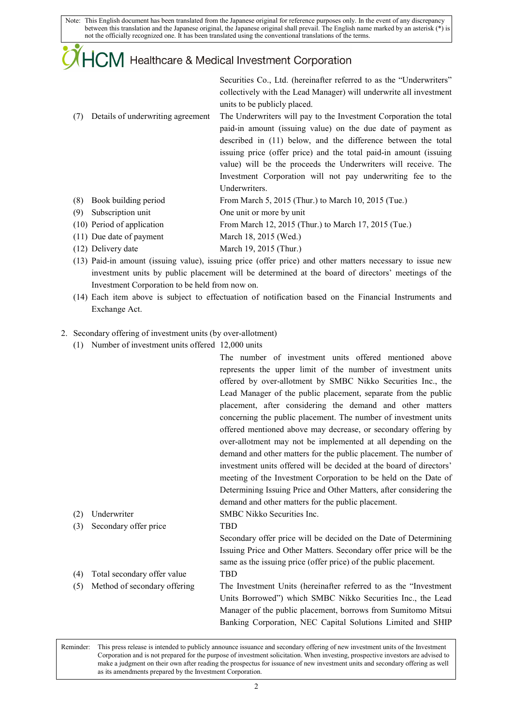# **HCM** Healthcare & Medical Investment Corporation

Securities Co., Ltd. (hereinafter referred to as the "Underwriters" collectively with the Lead Manager) will underwrite all investment units to be publicly placed.

- (7) Details of underwriting agreement The Underwriters will pay to the Investment Corporation the total paid-in amount (issuing value) on the due date of payment as described in (11) below, and the difference between the total issuing price (offer price) and the total paid-in amount (issuing value) will be the proceeds the Underwriters will receive. The Investment Corporation will not pay underwriting fee to the Underwriters.
- (8) Book building period From March 5, 2015 (Thur.) to March 10, 2015 (Tue.)
- (9) Subscription unit One unit or more by unit
- (10) Period of application From March 12, 2015 (Thur.) to March 17, 2015 (Tue.)
- (11) Due date of payment March 18, 2015 (Wed.)
- (12) Delivery date March 19, 2015 (Thur.)
- (13) Paid-in amount (issuing value), issuing price (offer price) and other matters necessary to issue new investment units by public placement will be determined at the board of directors' meetings of the Investment Corporation to be held from now on.
- (14) Each item above is subject to effectuation of notification based on the Financial Instruments and Exchange Act.
- 2. Secondary offering of investment units (by over-allotment)
	- (1) Number of investment units offered 12,000 units

The number of investment units offered mentioned above represents the upper limit of the number of investment units offered by over-allotment by SMBC Nikko Securities Inc., the Lead Manager of the public placement, separate from the public placement, after considering the demand and other matters concerning the public placement. The number of investment units offered mentioned above may decrease, or secondary offering by over-allotment may not be implemented at all depending on the demand and other matters for the public placement. The number of investment units offered will be decided at the board of directors' meeting of the Investment Corporation to be held on the Date of Determining Issuing Price and Other Matters, after considering the demand and other matters for the public placement. (2) Underwriter SMBC Nikko Securities Inc. (3) Secondary offer price TBD

Secondary offer price will be decided on the Date of Determining Issuing Price and Other Matters. Secondary offer price will be the same as the issuing price (offer price) of the public placement. (4) Total secondary offer value TBD

(5) Method of secondary offering The Investment Units (hereinafter referred to as the "Investment Units Borrowed") which SMBC Nikko Securities Inc., the Lead Manager of the public placement, borrows from Sumitomo Mitsui Banking Corporation, NEC Capital Solutions Limited and SHIP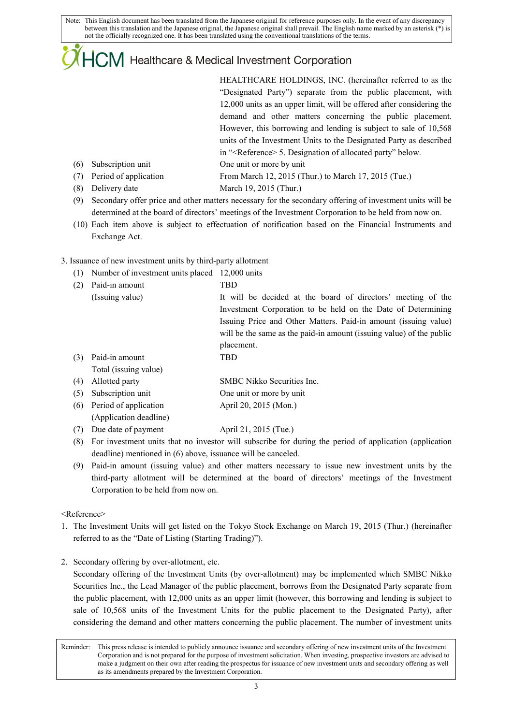## $\mathsf{ICM}\xspace$  Healthcare & Medical Investment Corporation

HEALTHCARE HOLDINGS, INC. (hereinafter referred to as the "Designated Party") separate from the public placement, with 12,000 units as an upper limit, will be offered after considering the demand and other matters concerning the public placement. However, this borrowing and lending is subject to sale of 10,568 units of the Investment Units to the Designated Party as described in "<Reference> 5. Designation of allocated party" below.

- (6) Subscription unit One unit or more by unit
- (7) Period of application From March 12, 2015 (Thur.) to March 17, 2015 (Tue.)
- (8) Delivery date March 19, 2015 (Thur.)
- (9) Secondary offer price and other matters necessary for the secondary offering of investment units will be determined at the board of directors' meetings of the Investment Corporation to be held from now on.
- (10) Each item above is subject to effectuation of notification based on the Financial Instruments and Exchange Act.

### 3. Issuance of new investment units by third-party allotment

(1) Number of investment units placed 12,000 units

| (2) | Paid-in amount        | TBD                                                                  |
|-----|-----------------------|----------------------------------------------------------------------|
|     | (Issuing value)       | It will be decided at the board of directors' meeting of the         |
|     |                       | Investment Corporation to be held on the Date of Determining         |
|     |                       | Issuing Price and Other Matters. Paid-in amount (issuing value)      |
|     |                       | will be the same as the paid-in amount (issuing value) of the public |
|     |                       | placement.                                                           |
| (3) | Paid-in amount        | TBD                                                                  |
|     | Total (issuing value) |                                                                      |
| (4) | Allotted party        | SMBC Nikko Securities Inc.                                           |
| (5) | Subscription unit     | One unit or more by unit                                             |

- (6) Period of application April 20, 2015 (Mon.) (Application deadline)
- (7) Due date of payment April 21, 2015 (Tue.)
- (8) For investment units that no investor will subscribe for during the period of application (application deadline) mentioned in (6) above, issuance will be canceled.
- (9) Paid-in amount (issuing value) and other matters necessary to issue new investment units by the third-party allotment will be determined at the board of directors' meetings of the Investment Corporation to be held from now on.

<Reference>

- 1. The Investment Units will get listed on the Tokyo Stock Exchange on March 19, 2015 (Thur.) (hereinafter referred to as the "Date of Listing (Starting Trading)").
- 2. Secondary offering by over-allotment, etc.

Secondary offering of the Investment Units (by over-allotment) may be implemented which SMBC Nikko Securities Inc., the Lead Manager of the public placement, borrows from the Designated Party separate from the public placement, with 12,000 units as an upper limit (however, this borrowing and lending is subject to sale of 10,568 units of the Investment Units for the public placement to the Designated Party), after considering the demand and other matters concerning the public placement. The number of investment units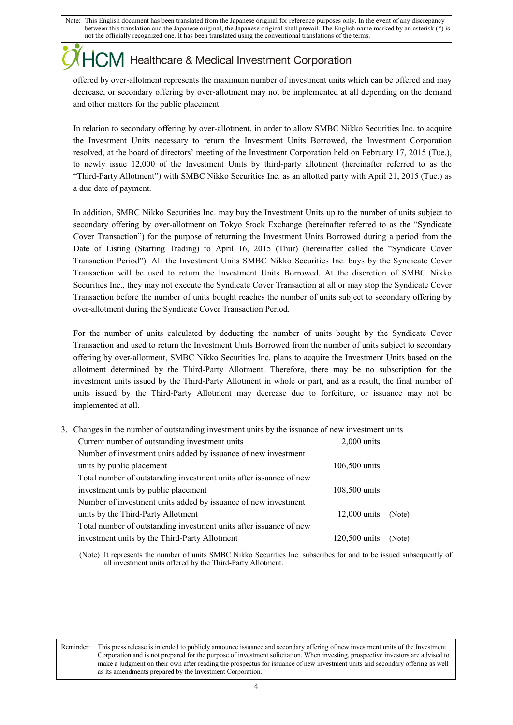# $\sum$ M Healthcare & Medical Investment Corporation

offered by over-allotment represents the maximum number of investment units which can be offered and may decrease, or secondary offering by over-allotment may not be implemented at all depending on the demand and other matters for the public placement.

In relation to secondary offering by over-allotment, in order to allow SMBC Nikko Securities Inc. to acquire the Investment Units necessary to return the Investment Units Borrowed, the Investment Corporation resolved, at the board of directors' meeting of the Investment Corporation held on February 17, 2015 (Tue.), to newly issue 12,000 of the Investment Units by third-party allotment (hereinafter referred to as the "Third-Party Allotment") with SMBC Nikko Securities Inc. as an allotted party with April 21, 2015 (Tue.) as a due date of payment.

In addition, SMBC Nikko Securities Inc. may buy the Investment Units up to the number of units subject to secondary offering by over-allotment on Tokyo Stock Exchange (hereinafter referred to as the "Syndicate Cover Transaction") for the purpose of returning the Investment Units Borrowed during a period from the Date of Listing (Starting Trading) to April 16, 2015 (Thur) (hereinafter called the "Syndicate Cover Transaction Period"). All the Investment Units SMBC Nikko Securities Inc. buys by the Syndicate Cover Transaction will be used to return the Investment Units Borrowed. At the discretion of SMBC Nikko Securities Inc., they may not execute the Syndicate Cover Transaction at all or may stop the Syndicate Cover Transaction before the number of units bought reaches the number of units subject to secondary offering by over-allotment during the Syndicate Cover Transaction Period.

For the number of units calculated by deducting the number of units bought by the Syndicate Cover Transaction and used to return the Investment Units Borrowed from the number of units subject to secondary offering by over-allotment, SMBC Nikko Securities Inc. plans to acquire the Investment Units based on the allotment determined by the Third-Party Allotment. Therefore, there may be no subscription for the investment units issued by the Third-Party Allotment in whole or part, and as a result, the final number of units issued by the Third-Party Allotment may decrease due to forfeiture, or issuance may not be implemented at all.

| 3. Changes in the number of outstanding investment units by the issuance of new investment units |                                                                    |                |        |
|--------------------------------------------------------------------------------------------------|--------------------------------------------------------------------|----------------|--------|
|                                                                                                  | Current number of outstanding investment units                     | $2,000$ units  |        |
|                                                                                                  | Number of investment units added by issuance of new investment     |                |        |
|                                                                                                  | units by public placement                                          | 106,500 units  |        |
|                                                                                                  | Total number of outstanding investment units after issuance of new |                |        |
|                                                                                                  | investment units by public placement                               | 108,500 units  |        |
|                                                                                                  | Number of investment units added by issuance of new investment     |                |        |
|                                                                                                  | units by the Third-Party Allotment                                 | $12,000$ units | (Note) |
|                                                                                                  | Total number of outstanding investment units after issuance of new |                |        |
|                                                                                                  | investment units by the Third-Party Allotment                      | 120,500 units  | (Note) |

(Note) It represents the number of units SMBC Nikko Securities Inc. subscribes for and to be issued subsequently of all investment units offered by the Third-Party Allotment.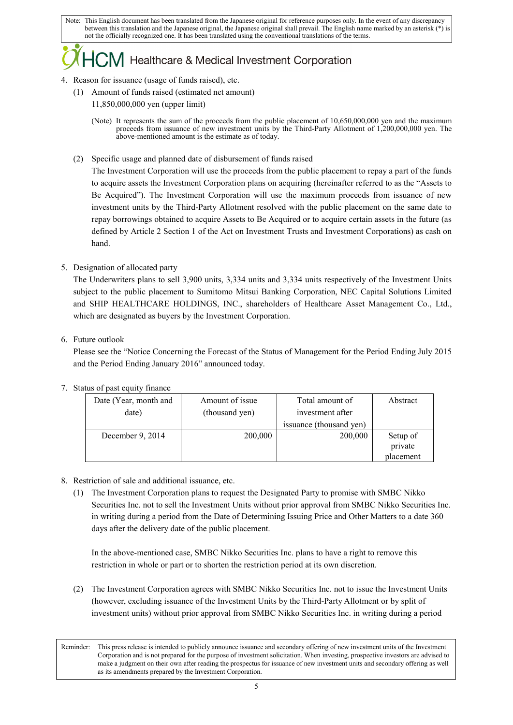### $\sum$ M Healthcare & Medical Investment Corporation

### 4. Reason for issuance (usage of funds raised), etc.

- (1) Amount of funds raised (estimated net amount)
	- 11,850,000,000 yen (upper limit)
	- (Note) It represents the sum of the proceeds from the public placement of 10,650,000,000 yen and the maximum proceeds from issuance of new investment units by the Third-Party Allotment of 1,200,000,000 yen. The above-mentioned amount is the estimate as of today.
- (2) Specific usage and planned date of disbursement of funds raised

The Investment Corporation will use the proceeds from the public placement to repay a part of the funds to acquire assets the Investment Corporation plans on acquiring (hereinafter referred to as the "Assets to Be Acquired"). The Investment Corporation will use the maximum proceeds from issuance of new investment units by the Third-Party Allotment resolved with the public placement on the same date to repay borrowings obtained to acquire Assets to Be Acquired or to acquire certain assets in the future (as defined by Article 2 Section 1 of the Act on Investment Trusts and Investment Corporations) as cash on hand.

5. Designation of allocated party

The Underwriters plans to sell 3,900 units, 3,334 units and 3,334 units respectively of the Investment Units subject to the public placement to Sumitomo Mitsui Banking Corporation, NEC Capital Solutions Limited and SHIP HEALTHCARE HOLDINGS, INC., shareholders of Healthcare Asset Management Co., Ltd., which are designated as buyers by the Investment Corporation.

6. Future outlook

Please see the "Notice Concerning the Forecast of the Status of Management for the Period Ending July 2015 and the Period Ending January 2016" announced today.

| Date (Year, month and | Amount of issue | Total amount of         | Abstract  |  |
|-----------------------|-----------------|-------------------------|-----------|--|
| date)                 | (thousand yen)  | investment after        |           |  |
|                       |                 | issuance (thousand yen) |           |  |
| December 9, 2014      | 200,000         | 200,000                 | Setup of  |  |
|                       |                 |                         | private   |  |
|                       |                 |                         | placement |  |

### 7. Status of past equity finance

- 8. Restriction of sale and additional issuance, etc.
	- (1) The Investment Corporation plans to request the Designated Party to promise with SMBC Nikko Securities Inc. not to sell the Investment Units without prior approval from SMBC Nikko Securities Inc. in writing during a period from the Date of Determining Issuing Price and Other Matters to a date 360 days after the delivery date of the public placement.

In the above-mentioned case, SMBC Nikko Securities Inc. plans to have a right to remove this restriction in whole or part or to shorten the restriction period at its own discretion.

(2) The Investment Corporation agrees with SMBC Nikko Securities Inc. not to issue the Investment Units (however, excluding issuance of the Investment Units by the Third-Party Allotment or by split of investment units) without prior approval from SMBC Nikko Securities Inc. in writing during a period